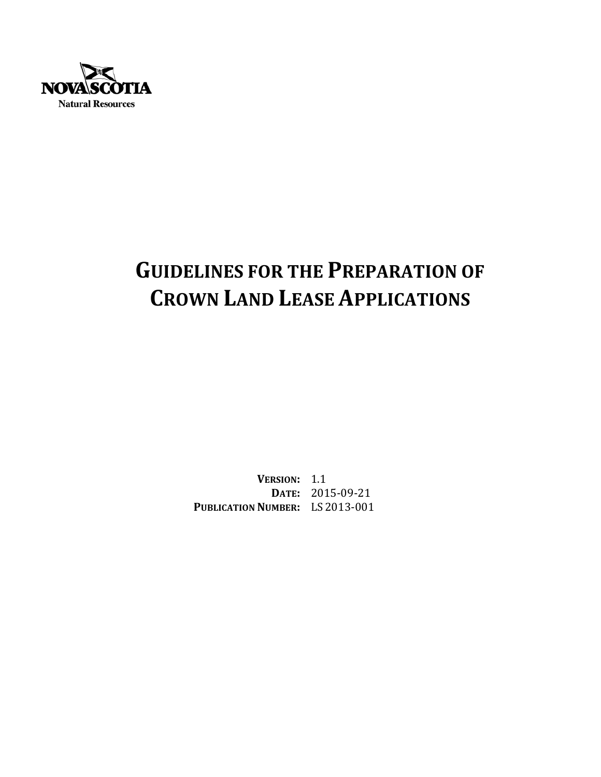

# **GUIDELINES FOR THE PREPARATION OF CROWN LAND LEASE APPLICATIONS**

**VERSION:** 1.1 **DATE:** 2015‐09‐21 **PUBLICATION NUMBER:** LS 2013‐001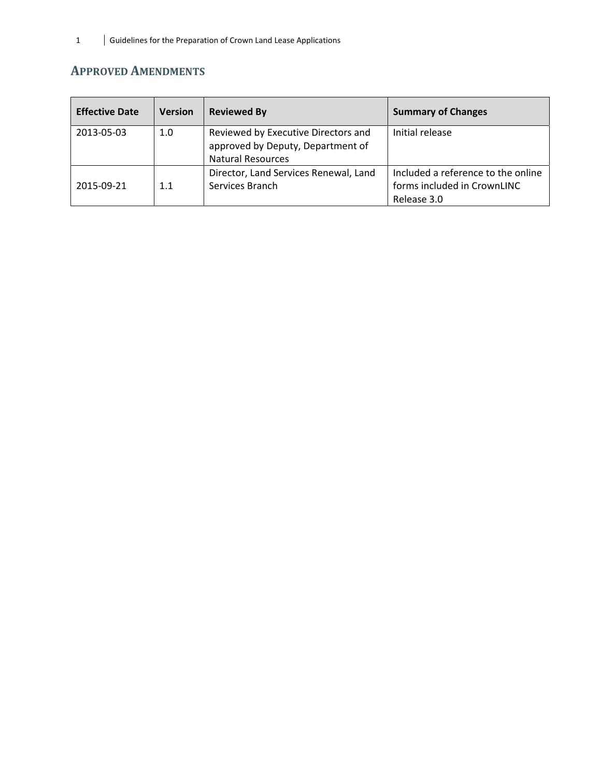# **APPROVED AMENDMENTS**

| <b>Effective Date</b> | <b>Version</b> | <b>Reviewed By</b>                                                                                   | <b>Summary of Changes</b>                                                        |
|-----------------------|----------------|------------------------------------------------------------------------------------------------------|----------------------------------------------------------------------------------|
| 2013-05-03            | 1.0            | Reviewed by Executive Directors and<br>approved by Deputy, Department of<br><b>Natural Resources</b> | Initial release                                                                  |
| 2015-09-21            | 1.1            | Director, Land Services Renewal, Land<br>Services Branch                                             | Included a reference to the online<br>forms included in CrownLINC<br>Release 3.0 |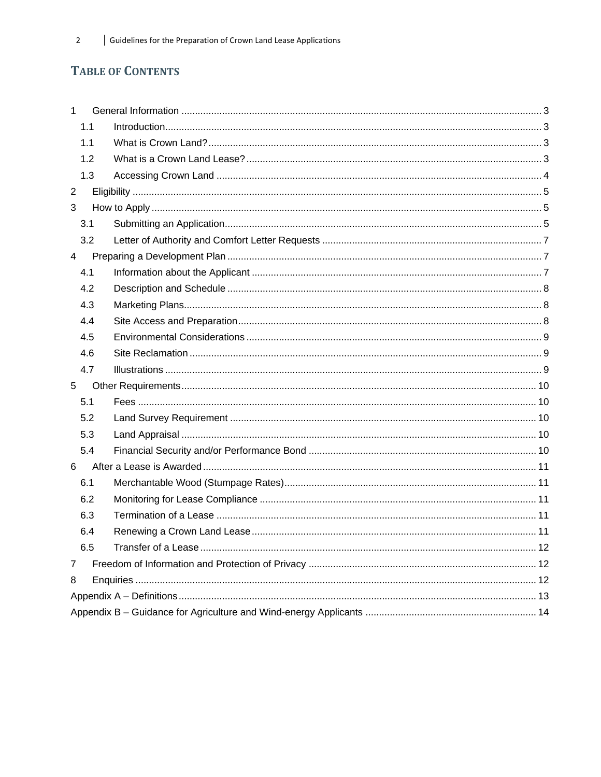# **TABLE OF CONTENTS**

| $\mathbf{1}$   |     |  |  |  |  |
|----------------|-----|--|--|--|--|
|                | 1.1 |  |  |  |  |
|                | 1.1 |  |  |  |  |
|                | 1.2 |  |  |  |  |
|                | 1.3 |  |  |  |  |
| $\overline{2}$ |     |  |  |  |  |
| 3              |     |  |  |  |  |
|                | 3.1 |  |  |  |  |
|                | 3.2 |  |  |  |  |
| $\overline{4}$ |     |  |  |  |  |
|                | 4.1 |  |  |  |  |
|                | 4.2 |  |  |  |  |
|                | 4.3 |  |  |  |  |
|                | 4.4 |  |  |  |  |
|                | 4.5 |  |  |  |  |
|                | 4.6 |  |  |  |  |
|                | 4.7 |  |  |  |  |
| 5              |     |  |  |  |  |
|                | 5.1 |  |  |  |  |
|                | 5.2 |  |  |  |  |
|                | 5.3 |  |  |  |  |
|                | 5.4 |  |  |  |  |
| 6              |     |  |  |  |  |
|                | 6.1 |  |  |  |  |
|                | 6.2 |  |  |  |  |
|                | 6.3 |  |  |  |  |
|                | 6.4 |  |  |  |  |
|                | 6.5 |  |  |  |  |
| 7              |     |  |  |  |  |
| 8              |     |  |  |  |  |
|                |     |  |  |  |  |
|                |     |  |  |  |  |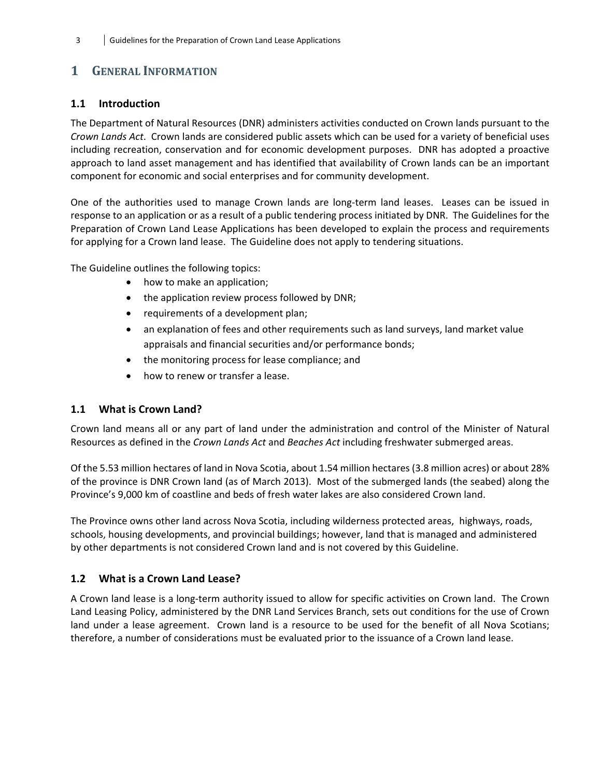# **1 GENERAL INFORMATION**

## **1.1 Introduction**

The Department of Natural Resources (DNR) administers activities conducted on Crown lands pursuant to the *Crown Lands Act*. Crown lands are considered public assets which can be used for a variety of beneficial uses including recreation, conservation and for economic development purposes. DNR has adopted a proactive approach to land asset management and has identified that availability of Crown lands can be an important component for economic and social enterprises and for community development.

One of the authorities used to manage Crown lands are long-term land leases. Leases can be issued in response to an application or as a result of a public tendering process initiated by DNR. The Guidelines for the Preparation of Crown Land Lease Applications has been developed to explain the process and requirements for applying for a Crown land lease. The Guideline does not apply to tendering situations.

The Guideline outlines the following topics:

- how to make an application;
- the application review process followed by DNR;
- requirements of a development plan;
- an explanation of fees and other requirements such as land surveys, land market value appraisals and financial securities and/or performance bonds;
- the monitoring process for lease compliance; and
- how to renew or transfer a lease.

#### **1.1 What is Crown Land?**

Crown land means all or any part of land under the administration and control of the Minister of Natural Resources as defined in the *Crown Lands Act* and *Beaches Act* including freshwater submerged areas.

Of the 5.53 million hectares of land in Nova Scotia, about 1.54 million hectares (3.8 million acres) or about 28% of the province is DNR Crown land (as of March 2013). Most of the submerged lands (the seabed) along the Province's 9,000 km of coastline and beds of fresh water lakes are also considered Crown land.

The Province owns other land across Nova Scotia, including wilderness protected areas, highways, roads, schools, housing developments, and provincial buildings; however, land that is managed and administered by other departments is not considered Crown land and is not covered by this Guideline.

#### **1.2 What is a Crown Land Lease?**

A Crown land lease is a long‐term authority issued to allow for specific activities on Crown land. The Crown Land Leasing Policy, administered by the DNR Land Services Branch, sets out conditions for the use of Crown land under a lease agreement. Crown land is a resource to be used for the benefit of all Nova Scotians; therefore, a number of considerations must be evaluated prior to the issuance of a Crown land lease.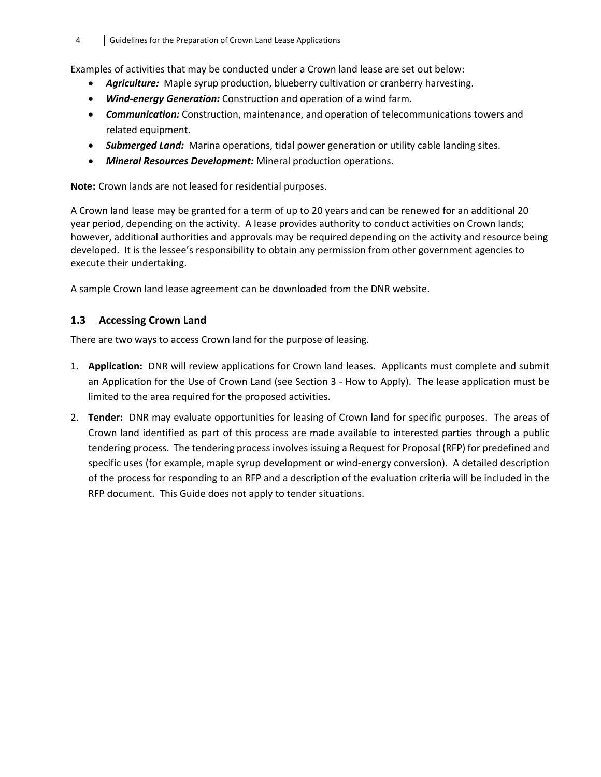#### 4 Guidelines for the Preparation of Crown Land Lease Applications

Examples of activities that may be conducted under a Crown land lease are set out below:

- **•** *Agriculture:* Maple syrup production, blueberry cultivation or cranberry harvesting.
- *Wind‐energy Generation:* Construction and operation of a wind farm.
- *Communication:* Construction, maintenance, and operation of telecommunications towers and related equipment.
- *Submerged Land:* Marina operations, tidal power generation or utility cable landing sites.
- *Mineral Resources Development:* Mineral production operations.

**Note:** Crown lands are not leased for residential purposes.

A Crown land lease may be granted for a term of up to 20 years and can be renewed for an additional 20 year period, depending on the activity. A lease provides authority to conduct activities on Crown lands; however, additional authorities and approvals may be required depending on the activity and resource being developed. It is the lessee's responsibility to obtain any permission from other government agencies to execute their undertaking.

A sample Crown land lease agreement can be downloaded from the DNR website.

#### **1.3 Accessing Crown Land**

There are two ways to access Crown land for the purpose of leasing.

- 1. **Application:** DNR will review applications for Crown land leases. Applicants must complete and submit an Application for the Use of Crown Land (see Section 3 ‐ How to Apply). The lease application must be limited to the area required for the proposed activities.
- 2. **Tender:** DNR may evaluate opportunities for leasing of Crown land for specific purposes. The areas of Crown land identified as part of this process are made available to interested parties through a public tendering process. The tendering process involves issuing a Request for Proposal (RFP) for predefined and specific uses (for example, maple syrup development or wind-energy conversion). A detailed description of the process for responding to an RFP and a description of the evaluation criteria will be included in the RFP document. This Guide does not apply to tender situations.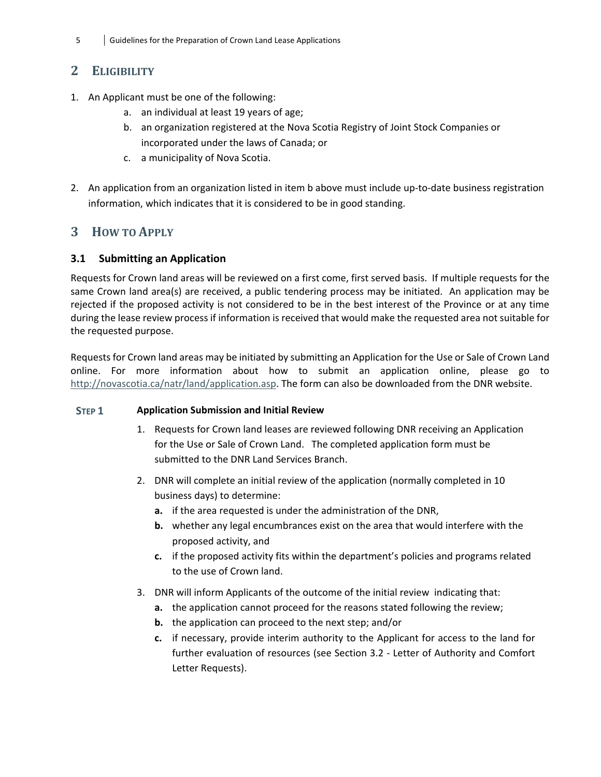# **2 ELIGIBILITY**

- 1. An Applicant must be one of the following:
	- a. an individual at least 19 years of age;
	- b. an organization registered at the Nova Scotia Registry of Joint Stock Companies or incorporated under the laws of Canada; or
	- c. a municipality of Nova Scotia.
- 2. An application from an organization listed in item b above must include up-to-date business registration information, which indicates that it is considered to be in good standing.

# **3 HOW TO APPLY**

## **3.1 Submitting an Application**

Requests for Crown land areas will be reviewed on a first come, first served basis. If multiple requests for the same Crown land area(s) are received, a public tendering process may be initiated. An application may be rejected if the proposed activity is not considered to be in the best interest of the Province or at any time during the lease review process if information is received that would make the requested area not suitable for the requested purpose.

Requests for Crown land areas may be initiated by submitting an Application for the Use or Sale of Crown Land online. For more information about how to submit an application online, please go to http://novascotia.ca/natr/land/application.asp. The form can also be downloaded from the DNR website.

## **STEP 1 Application Submission and Initial Review**

- 1. Requests for Crown land leases are reviewed following DNR receiving an Application for the Use or Sale of Crown Land. The completed application form must be submitted to the DNR Land Services Branch.
- 2. DNR will complete an initial review of the application (normally completed in 10 business days) to determine:
	- **a.** if the area requested is under the administration of the DNR,
	- **b.** whether any legal encumbrances exist on the area that would interfere with the proposed activity, and
	- **c.** if the proposed activity fits within the department's policies and programs related to the use of Crown land.
- 3. DNR will inform Applicants of the outcome of the initial review indicating that:
	- **a.** the application cannot proceed for the reasons stated following the review;
	- **b.** the application can proceed to the next step; and/or
	- **c.** if necessary, provide interim authority to the Applicant for access to the land for further evaluation of resources (see Section 3.2 ‐ Letter of Authority and Comfort Letter Requests).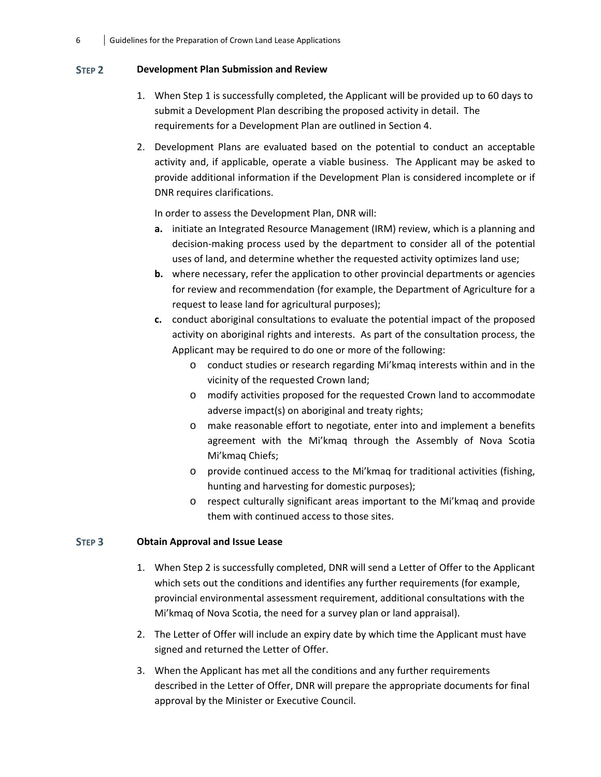#### **STEP 2 Development Plan Submission and Review**

- 1. When Step 1 is successfully completed, the Applicant will be provided up to 60 days to submit a Development Plan describing the proposed activity in detail. The requirements for a Development Plan are outlined in Section 4.
- 2. Development Plans are evaluated based on the potential to conduct an acceptable activity and, if applicable, operate a viable business. The Applicant may be asked to provide additional information if the Development Plan is considered incomplete or if DNR requires clarifications.

In order to assess the Development Plan, DNR will:

- **a.** initiate an Integrated Resource Management (IRM) review, which is a planning and decision‐making process used by the department to consider all of the potential uses of land, and determine whether the requested activity optimizes land use;
- **b.** where necessary, refer the application to other provincial departments or agencies for review and recommendation (for example, the Department of Agriculture for a request to lease land for agricultural purposes);
- **c.** conduct aboriginal consultations to evaluate the potential impact of the proposed activity on aboriginal rights and interests. As part of the consultation process, the Applicant may be required to do one or more of the following:
	- o conduct studies or research regarding Mi'kmaq interests within and in the vicinity of the requested Crown land;
	- o modify activities proposed for the requested Crown land to accommodate adverse impact(s) on aboriginal and treaty rights;
	- o make reasonable effort to negotiate, enter into and implement a benefits agreement with the Mi'kmaq through the Assembly of Nova Scotia Mi'kmaq Chiefs;
	- o provide continued access to the Mi'kmaq for traditional activities (fishing, hunting and harvesting for domestic purposes);
	- o respect culturally significant areas important to the Mi'kmaq and provide them with continued access to those sites.

#### **STEP 3 Obtain Approval and Issue Lease**

- 1. When Step 2 is successfully completed, DNR will send a Letter of Offer to the Applicant which sets out the conditions and identifies any further requirements (for example, provincial environmental assessment requirement, additional consultations with the Mi'kmaq of Nova Scotia, the need for a survey plan or land appraisal).
- 2. The Letter of Offer will include an expiry date by which time the Applicant must have signed and returned the Letter of Offer.
- 3. When the Applicant has met all the conditions and any further requirements described in the Letter of Offer, DNR will prepare the appropriate documents for final approval by the Minister or Executive Council.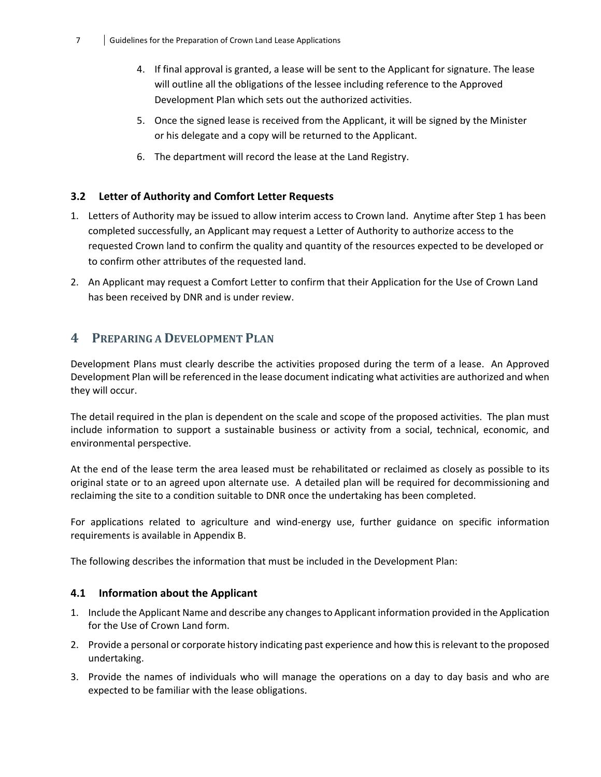- 4. If final approval is granted, a lease will be sent to the Applicant for signature. The lease will outline all the obligations of the lessee including reference to the Approved Development Plan which sets out the authorized activities.
- 5. Once the signed lease is received from the Applicant, it will be signed by the Minister or his delegate and a copy will be returned to the Applicant.
- 6. The department will record the lease at the Land Registry.

#### **3.2 Letter of Authority and Comfort Letter Requests**

- 1. Letters of Authority may be issued to allow interim access to Crown land. Anytime after Step 1 has been completed successfully, an Applicant may request a Letter of Authority to authorize access to the requested Crown land to confirm the quality and quantity of the resources expected to be developed or to confirm other attributes of the requested land.
- 2. An Applicant may request a Comfort Letter to confirm that their Application for the Use of Crown Land has been received by DNR and is under review.

## **4 PREPARING A DEVELOPMENT PLAN**

Development Plans must clearly describe the activities proposed during the term of a lease. An Approved Development Plan will be referenced in the lease document indicating what activities are authorized and when they will occur.

The detail required in the plan is dependent on the scale and scope of the proposed activities. The plan must include information to support a sustainable business or activity from a social, technical, economic, and environmental perspective.

At the end of the lease term the area leased must be rehabilitated or reclaimed as closely as possible to its original state or to an agreed upon alternate use. A detailed plan will be required for decommissioning and reclaiming the site to a condition suitable to DNR once the undertaking has been completed.

For applications related to agriculture and wind-energy use, further guidance on specific information requirements is available in Appendix B.

The following describes the information that must be included in the Development Plan:

#### **4.1 Information about the Applicant**

- 1. Include the Applicant Name and describe any changesto Applicant information provided in the Application for the Use of Crown Land form.
- 2. Provide a personal or corporate history indicating past experience and how this is relevant to the proposed undertaking.
- 3. Provide the names of individuals who will manage the operations on a day to day basis and who are expected to be familiar with the lease obligations.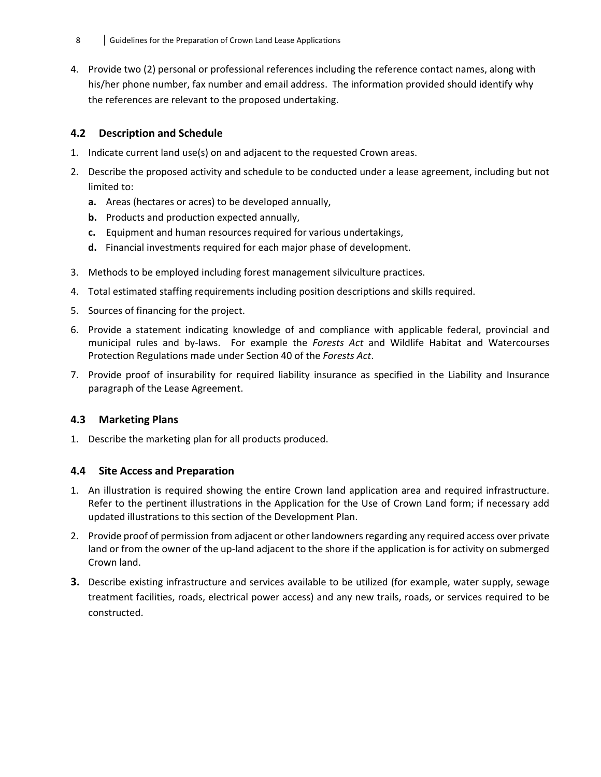4. Provide two (2) personal or professional references including the reference contact names, along with his/her phone number, fax number and email address. The information provided should identify why the references are relevant to the proposed undertaking.

# **4.2 Description and Schedule**

- 1. Indicate current land use(s) on and adjacent to the requested Crown areas.
- 2. Describe the proposed activity and schedule to be conducted under a lease agreement, including but not limited to:
	- **a.** Areas (hectares or acres) to be developed annually,
	- **b.** Products and production expected annually,
	- **c.** Equipment and human resources required for various undertakings,
	- **d.** Financial investments required for each major phase of development.
- 3. Methods to be employed including forest management silviculture practices.
- 4. Total estimated staffing requirements including position descriptions and skills required.
- 5. Sources of financing for the project.
- 6. Provide a statement indicating knowledge of and compliance with applicable federal, provincial and municipal rules and by‐laws. For example the *Forests Act* and Wildlife Habitat and Watercourses Protection Regulations made under Section 40 of the *Forests Act*.
- 7. Provide proof of insurability for required liability insurance as specified in the Liability and Insurance paragraph of the Lease Agreement.

## **4.3 Marketing Plans**

1. Describe the marketing plan for all products produced.

#### **4.4 Site Access and Preparation**

- 1. An illustration is required showing the entire Crown land application area and required infrastructure. Refer to the pertinent illustrations in the Application for the Use of Crown Land form; if necessary add updated illustrations to this section of the Development Plan.
- 2. Provide proof of permission from adjacent or other landownersregarding any required access over private land or from the owner of the up-land adjacent to the shore if the application is for activity on submerged Crown land.
- **3.** Describe existing infrastructure and services available to be utilized (for example, water supply, sewage treatment facilities, roads, electrical power access) and any new trails, roads, or services required to be constructed.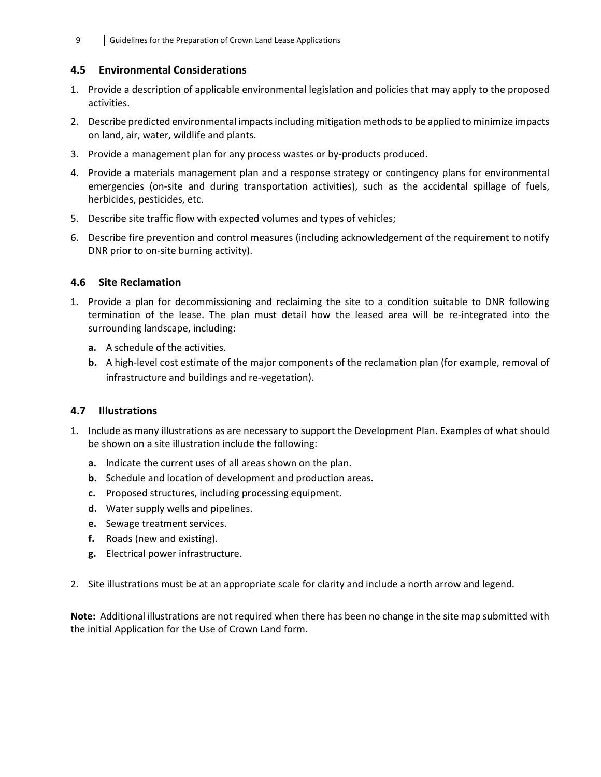9 Guidelines for the Preparation of Crown Land Lease Applications

#### **4.5 Environmental Considerations**

- 1. Provide a description of applicable environmental legislation and policies that may apply to the proposed activities.
- 2. Describe predicted environmental impacts including mitigation methods to be applied to minimize impacts on land, air, water, wildlife and plants.
- 3. Provide a management plan for any process wastes or by‐products produced.
- 4. Provide a materials management plan and a response strategy or contingency plans for environmental emergencies (on-site and during transportation activities), such as the accidental spillage of fuels, herbicides, pesticides, etc.
- 5. Describe site traffic flow with expected volumes and types of vehicles;
- 6. Describe fire prevention and control measures (including acknowledgement of the requirement to notify DNR prior to on‐site burning activity).

#### **4.6 Site Reclamation**

- 1. Provide a plan for decommissioning and reclaiming the site to a condition suitable to DNR following termination of the lease. The plan must detail how the leased area will be re‐integrated into the surrounding landscape, including:
	- **a.** A schedule of the activities.
	- **b.** A high-level cost estimate of the major components of the reclamation plan (for example, removal of infrastructure and buildings and re‐vegetation).

#### **4.7 Illustrations**

- 1. Include as many illustrations as are necessary to support the Development Plan. Examples of what should be shown on a site illustration include the following:
	- **a.** Indicate the current uses of all areas shown on the plan.
	- **b.** Schedule and location of development and production areas.
	- **c.** Proposed structures, including processing equipment.
	- **d.** Water supply wells and pipelines.
	- **e.** Sewage treatment services.
	- **f.** Roads (new and existing).
	- **g.** Electrical power infrastructure.
- 2. Site illustrations must be at an appropriate scale for clarity and include a north arrow and legend.

**Note:** Additional illustrations are not required when there has been no change in the site map submitted with the initial Application for the Use of Crown Land form.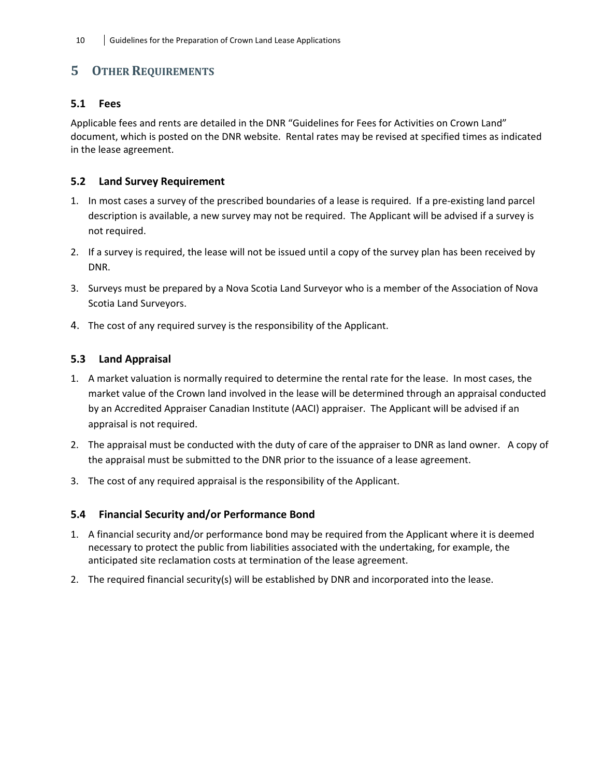# **5 OTHER REQUIREMENTS**

#### **5.1 Fees**

Applicable fees and rents are detailed in the DNR "Guidelines for Fees for Activities on Crown Land" document, which is posted on the DNR website. Rental rates may be revised at specified times as indicated in the lease agreement.

## **5.2 Land Survey Requirement**

- 1. In most cases a survey of the prescribed boundaries of a lease is required. If a pre‐existing land parcel description is available, a new survey may not be required. The Applicant will be advised if a survey is not required.
- 2. If a survey is required, the lease will not be issued until a copy of the survey plan has been received by DNR.
- 3. Surveys must be prepared by a Nova Scotia Land Surveyor who is a member of the Association of Nova Scotia Land Surveyors.
- 4. The cost of any required survey is the responsibility of the Applicant.

## **5.3 Land Appraisal**

- 1. A market valuation is normally required to determine the rental rate for the lease. In most cases, the market value of the Crown land involved in the lease will be determined through an appraisal conducted by an Accredited Appraiser Canadian Institute (AACI) appraiser. The Applicant will be advised if an appraisal is not required.
- 2. The appraisal must be conducted with the duty of care of the appraiser to DNR as land owner. A copy of the appraisal must be submitted to the DNR prior to the issuance of a lease agreement.
- 3. The cost of any required appraisal is the responsibility of the Applicant.

#### **5.4 Financial Security and/or Performance Bond**

- 1. A financial security and/or performance bond may be required from the Applicant where it is deemed necessary to protect the public from liabilities associated with the undertaking, for example, the anticipated site reclamation costs at termination of the lease agreement.
- 2. The required financial security(s) will be established by DNR and incorporated into the lease.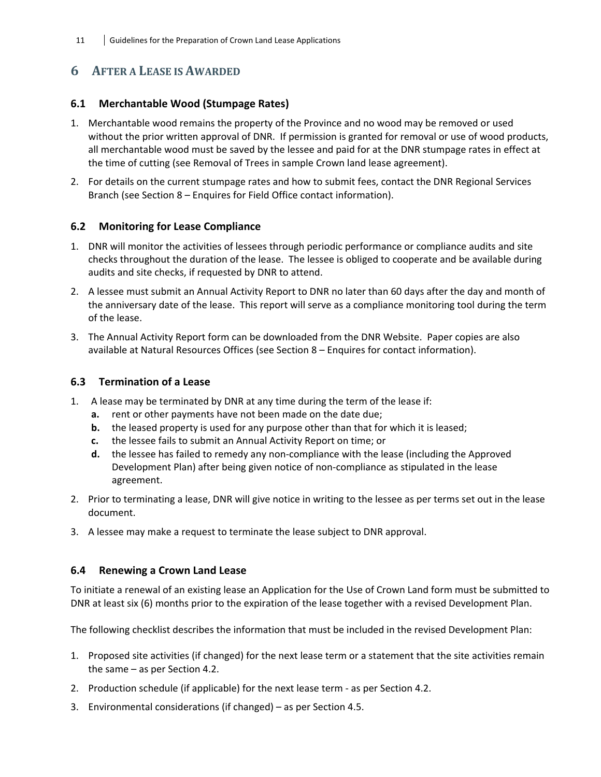# **6 AFTER A LEASE IS AWARDED**

#### **6.1 Merchantable Wood (Stumpage Rates)**

- 1. Merchantable wood remains the property of the Province and no wood may be removed or used without the prior written approval of DNR. If permission is granted for removal or use of wood products, all merchantable wood must be saved by the lessee and paid for at the DNR stumpage rates in effect at the time of cutting (see Removal of Trees in sample Crown land lease agreement).
- 2. For details on the current stumpage rates and how to submit fees, contact the DNR Regional Services Branch (see Section 8 – Enquires for Field Office contact information).

#### **6.2 Monitoring for Lease Compliance**

- 1. DNR will monitor the activities of lessees through periodic performance or compliance audits and site checks throughout the duration of the lease. The lessee is obliged to cooperate and be available during audits and site checks, if requested by DNR to attend.
- 2. A lessee must submit an Annual Activity Report to DNR no later than 60 days after the day and month of the anniversary date of the lease. This report will serve as a compliance monitoring tool during the term of the lease.
- 3. The Annual Activity Report form can be downloaded from the DNR Website. Paper copies are also available at Natural Resources Offices (see Section 8 – Enquires for contact information).

#### **6.3 Termination of a Lease**

- 1. A lease may be terminated by DNR at any time during the term of the lease if:
	- **a.** rent or other payments have not been made on the date due;
	- **b.** the leased property is used for any purpose other than that for which it is leased;
	- **c.** the lessee fails to submit an Annual Activity Report on time; or
	- **d.** the lessee has failed to remedy any non-compliance with the lease (including the Approved Development Plan) after being given notice of non‐compliance as stipulated in the lease agreement.
- 2. Prior to terminating a lease, DNR will give notice in writing to the lessee as per terms set out in the lease document.
- 3. A lessee may make a request to terminate the lease subject to DNR approval.

#### **6.4 Renewing a Crown Land Lease**

To initiate a renewal of an existing lease an Application for the Use of Crown Land form must be submitted to DNR at least six (6) months prior to the expiration of the lease together with a revised Development Plan.

The following checklist describes the information that must be included in the revised Development Plan:

- 1. Proposed site activities (if changed) for the next lease term or a statement that the site activities remain the same – as per Section 4.2.
- 2. Production schedule (if applicable) for the next lease term as per Section 4.2.
- 3. Environmental considerations (if changed) as per Section 4.5.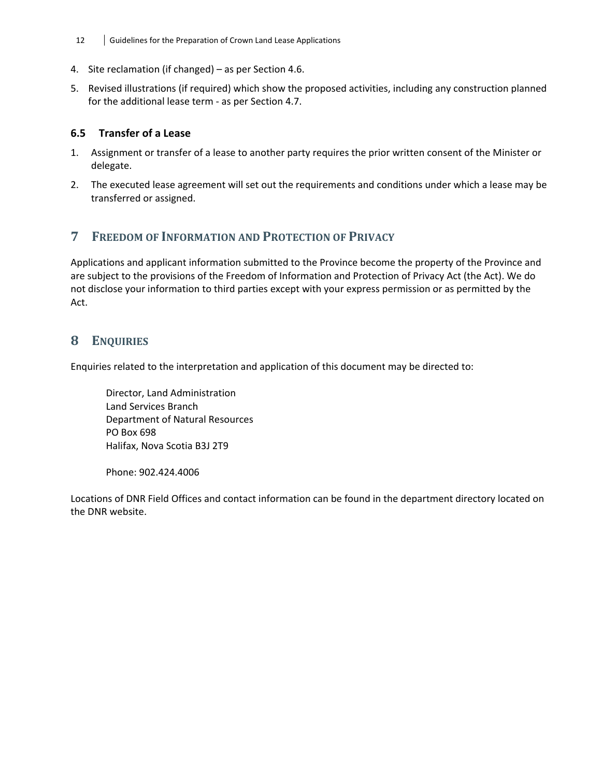- 12 **Guidelines for the Preparation of Crown Land Lease Applications**
- 4. Site reclamation (if changed) as per Section 4.6.
- 5. Revised illustrations (if required) which show the proposed activities, including any construction planned for the additional lease term ‐ as per Section 4.7.

#### **6.5 Transfer of a Lease**

- 1. Assignment or transfer of a lease to another party requires the prior written consent of the Minister or delegate.
- 2. The executed lease agreement will set out the requirements and conditions under which a lease may be transferred or assigned.

# **7 FREEDOM OF INFORMATION AND PROTECTION OF PRIVACY**

Applications and applicant information submitted to the Province become the property of the Province and are subject to the provisions of the Freedom of Information and Protection of Privacy Act (the Act). We do not disclose your information to third parties except with your express permission or as permitted by the Act.

# **8 ENQUIRIES**

Enquiries related to the interpretation and application of this document may be directed to:

Director, Land Administration Land Services Branch Department of Natural Resources PO Box 698 Halifax, Nova Scotia B3J 2T9

Phone: 902.424.4006

Locations of DNR Field Offices and contact information can be found in the department directory located on the DNR website.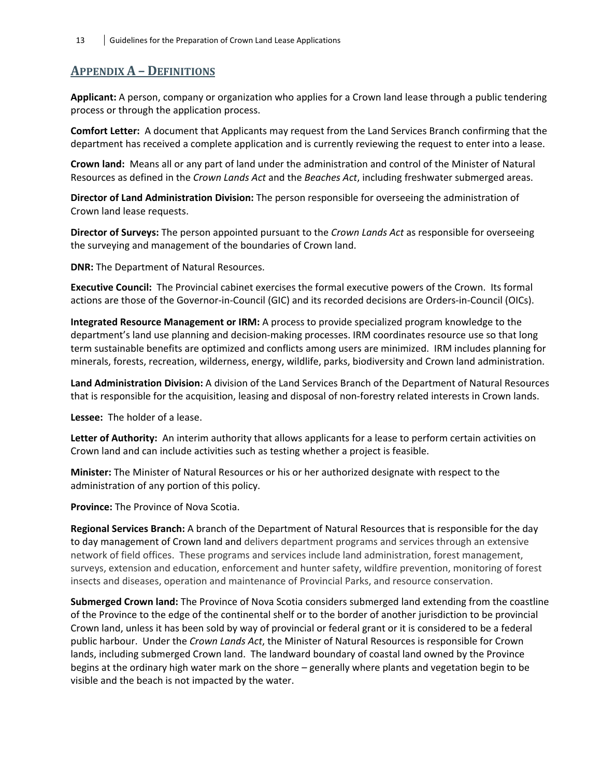# **APPENDIX A – DEFINITIONS**

**Applicant:** A person, company or organization who applies for a Crown land lease through a public tendering process or through the application process.

**Comfort Letter:** A document that Applicants may request from the Land Services Branch confirming that the department has received a complete application and is currently reviewing the request to enter into a lease.

**Crown land:** Means all or any part of land under the administration and control of the Minister of Natural Resources as defined in the *Crown Lands Act* and the *Beaches Act*, including freshwater submerged areas.

**Director of Land Administration Division:** The person responsible for overseeing the administration of Crown land lease requests.

**Director of Surveys:** The person appointed pursuant to the *Crown Lands Act* as responsible for overseeing the surveying and management of the boundaries of Crown land.

**DNR:** The Department of Natural Resources.

**Executive Council:** The Provincial cabinet exercises the formal executive powers of the Crown. Its formal actions are those of the Governor‐in‐Council (GIC) and its recorded decisions are Orders‐in‐Council (OICs).

**Integrated Resource Management or IRM:** A process to provide specialized program knowledge to the department's land use planning and decision‐making processes. IRM coordinates resource use so that long term sustainable benefits are optimized and conflicts among users are minimized. IRM includes planning for minerals, forests, recreation, wilderness, energy, wildlife, parks, biodiversity and Crown land administration.

**Land Administration Division:** A division of the Land Services Branch of the Department of Natural Resources that is responsible for the acquisition, leasing and disposal of non‐forestry related interests in Crown lands.

**Lessee:** The holder of a lease.

**Letter of Authority:** An interim authority that allows applicants for a lease to perform certain activities on Crown land and can include activities such as testing whether a project is feasible.

**Minister:** The Minister of Natural Resources or his or her authorized designate with respect to the administration of any portion of this policy.

**Province:** The Province of Nova Scotia.

**Regional Services Branch:** A branch of the Department of Natural Resources that is responsible for the day to day management of Crown land and delivers department programs and services through an extensive network of field offices. These programs and services include land administration, forest management, surveys, extension and education, enforcement and hunter safety, wildfire prevention, monitoring of forest insects and diseases, operation and maintenance of Provincial Parks, and resource conservation.

**Submerged Crown land:** The Province of Nova Scotia considers submerged land extending from the coastline of the Province to the edge of the continental shelf or to the border of another jurisdiction to be provincial Crown land, unless it has been sold by way of provincial or federal grant or it is considered to be a federal public harbour. Under the *Crown Lands Act*, the Minister of Natural Resources is responsible for Crown lands, including submerged Crown land. The landward boundary of coastal land owned by the Province begins at the ordinary high water mark on the shore – generally where plants and vegetation begin to be visible and the beach is not impacted by the water.